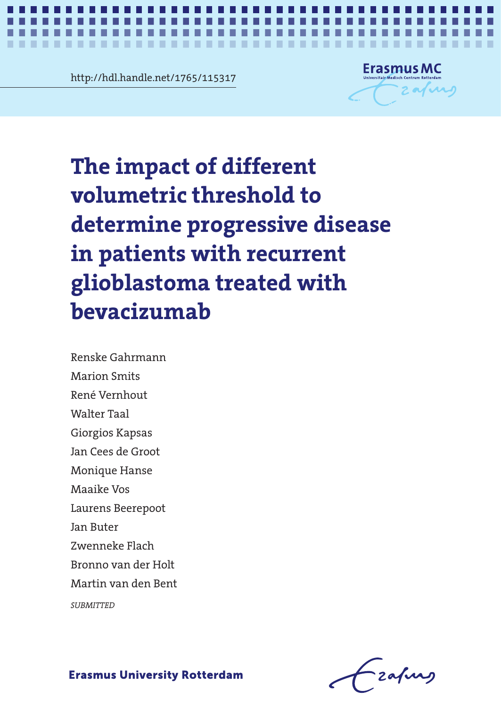http://hdl.handle.net/1765/115317



e impact of different<br>lumetric threshold to The impact of different volumetric **glioblastoma treated with**   $\bm{b}$ evacizumab **The impact of different volumetric threshold to determine progressive disease in patients with recurrent** 

*Different thresholds to determine PD in glioblastoma* **1**

disease in patients with recurrent Marion Smits Renske Gahrmann Marion Smits René Vernhout Walter Taal Giorgios Kapsas Jan Cees de Groot Monique Hanse Maaike Vos Laurens Beerepoot Jan Buter Zwenneke Flach Bronno van der Holt Martin van den Bent

*SUBMITTED*

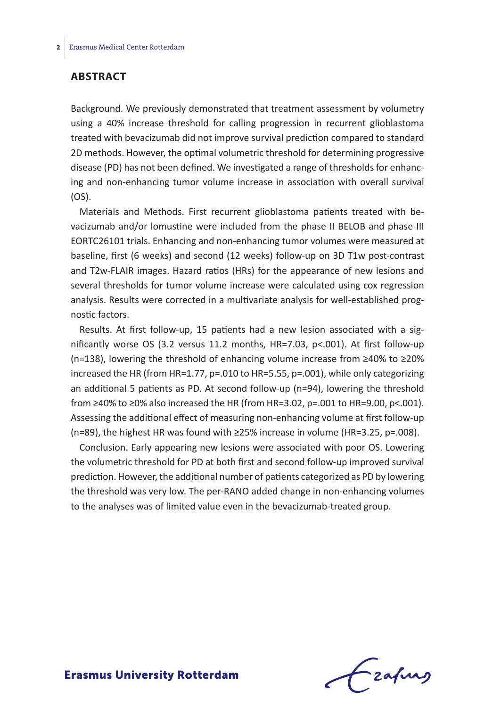### **Abstract**

Background. We previously demonstrated that treatment assessment by volumetry using a 40% increase threshold for calling progression in recurrent glioblastoma treated with bevacizumab did not improve survival prediction compared to standard 2D methods. However, the optimal volumetric threshold for determining progressive disease (PD) has not been defined. We investigated a range of thresholds for enhancing and non-enhancing tumor volume increase in association with overall survival (OS).

Materials and Methods. First recurrent glioblastoma patients treated with bevacizumab and/or lomustine were included from the phase II BELOB and phase III EORTC26101 trials. Enhancing and non-enhancing tumor volumes were measured at baseline, first (6 weeks) and second (12 weeks) follow-up on 3D T1w post-contrast and T2w-FLAIR images. Hazard ratios (HRs) for the appearance of new lesions and several thresholds for tumor volume increase were calculated using cox regression analysis. Results were corrected in a multivariate analysis for well-established prognostic factors.

Results. At first follow-up, 15 patients had a new lesion associated with a significantly worse OS (3.2 versus 11.2 months, HR=7.03, p<.001). At first follow-up (n=138), lowering the threshold of enhancing volume increase from ≥40% to ≥20% increased the HR (from HR=1.77, p=.010 to HR=5.55, p=.001), while only categorizing an additional 5 patients as PD. At second follow-up (n=94), lowering the threshold from ≥40% to ≥0% also increased the HR (from HR=3.02, p=.001 to HR=9.00, p<.001). Assessing the additional effect of measuring non-enhancing volume at first follow-up (n=89), the highest HR was found with ≥25% increase in volume (HR=3.25, p=.008).

Conclusion. Early appearing new lesions were associated with poor OS. Lowering the volumetric threshold for PD at both first and second follow-up improved survival prediction. However, the additional number of patients categorized as PD by lowering the threshold was very low. The per-RANO added change in non-enhancing volumes to the analyses was of limited value even in the bevacizumab-treated group.

frafing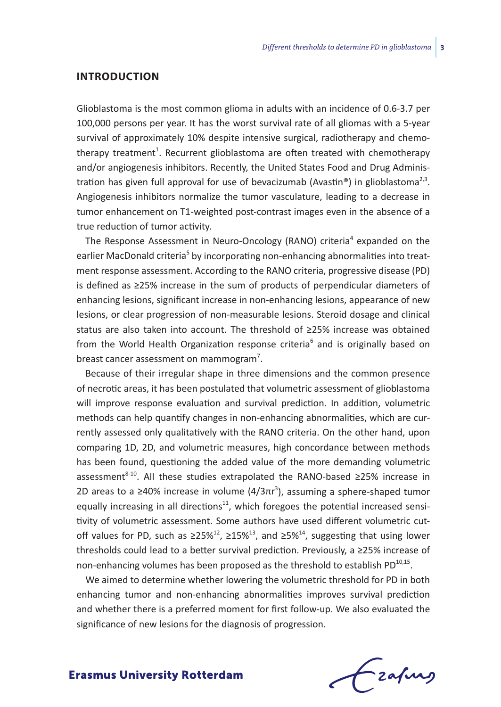### **Introduction**

Glioblastoma is the most common glioma in adults with an incidence of 0.6-3.7 per 100,000 persons per year. It has the worst survival rate of all gliomas with a 5-year survival of approximately 10% despite intensive surgical, radiotherapy and chemotherapy treatment<sup>1</sup>. Recurrent glioblastoma are often treated with chemotherapy and/or angiogenesis inhibitors. Recently, the United States Food and Drug Administration has given full approval for use of bevacizumab (Avastin®) in glioblastoma<sup>2,3</sup>. Angiogenesis inhibitors normalize the tumor vasculature, leading to a decrease in tumor enhancement on T1-weighted post-contrast images even in the absence of a true reduction of tumor activity.

The Response Assessment in Neuro-Oncology (RANO) criteria<sup>4</sup> expanded on the earlier MacDonald criteria<sup>5</sup> by incorporating non-enhancing abnormalities into treatment response assessment. According to the RANO criteria, progressive disease (PD) is defined as ≥25% increase in the sum of products of perpendicular diameters of enhancing lesions, significant increase in non-enhancing lesions, appearance of new lesions, or clear progression of non-measurable lesions. Steroid dosage and clinical status are also taken into account. The threshold of ≥25% increase was obtained from the World Health Organization response criteria<sup>6</sup> and is originally based on breast cancer assessment on mammogram<sup>7</sup>.

Because of their irregular shape in three dimensions and the common presence of necrotic areas, it has been postulated that volumetric assessment of glioblastoma will improve response evaluation and survival prediction. In addition, volumetric methods can help quantify changes in non-enhancing abnormalities, which are currently assessed only qualitatively with the RANO criteria. On the other hand, upon comparing 1D, 2D, and volumetric measures, high concordance between methods has been found, questioning the added value of the more demanding volumetric assessment<sup>8-10</sup>. All these studies extrapolated the RANO-based ≥25% increase in 2D areas to a  $\geq$ 40% increase in volume (4/3πr<sup>3</sup>), assuming a sphere-shaped tumor equally increasing in all directions $11$ , which foregoes the potential increased sensitivity of volumetric assessment. Some authors have used different volumetric cutoff values for PD, such as ≥25%<sup>12</sup>, ≥15%<sup>13</sup>, and ≥5%<sup>14</sup>, suggesting that using lower thresholds could lead to a better survival prediction. Previously, a ≥25% increase of non-enhancing volumes has been proposed as the threshold to establish PD $^{10,15}$ .

We aimed to determine whether lowering the volumetric threshold for PD in both enhancing tumor and non-enhancing abnormalities improves survival prediction and whether there is a preferred moment for first follow-up. We also evaluated the significance of new lesions for the diagnosis of progression.

- zafurs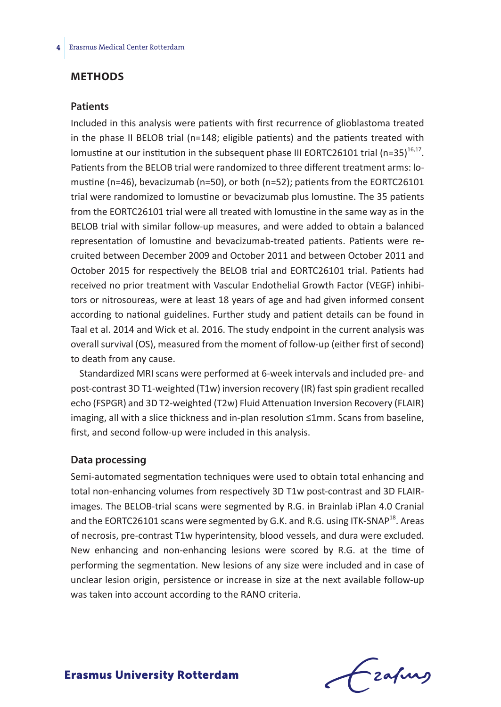## **Methods**

#### **Patients**

Included in this analysis were patients with first recurrence of glioblastoma treated in the phase II BELOB trial (n=148; eligible patients) and the patients treated with lomustine at our institution in the subsequent phase III EORTC26101 trial (n=35) $^{16,17}$ . Patients from the BELOB trial were randomized to three different treatment arms: lomustine (n=46), bevacizumab (n=50), or both (n=52); patients from the EORTC26101 trial were randomized to lomustine or bevacizumab plus lomustine. The 35 patients from the EORTC26101 trial were all treated with lomustine in the same way as in the BELOB trial with similar follow-up measures, and were added to obtain a balanced representation of lomustine and bevacizumab-treated patients. Patients were recruited between December 2009 and October 2011 and between October 2011 and October 2015 for respectively the BELOB trial and EORTC26101 trial. Patients had received no prior treatment with Vascular Endothelial Growth Factor (VEGF) inhibitors or nitrosoureas, were at least 18 years of age and had given informed consent according to national guidelines. Further study and patient details can be found in Taal et al. 2014 and Wick et al. 2016. The study endpoint in the current analysis was overall survival (OS), measured from the moment of follow-up (either first of second) to death from any cause.

Standardized MRI scans were performed at 6-week intervals and included pre- and post-contrast 3D T1-weighted (T1w) inversion recovery (IR) fast spin gradient recalled echo (FSPGR) and 3D T2-weighted (T2w) Fluid Attenuation Inversion Recovery (FLAIR) imaging, all with a slice thickness and in-plan resolution ≤1mm. Scans from baseline, first, and second follow-up were included in this analysis.

#### **Data processing**

Semi-automated segmentation techniques were used to obtain total enhancing and total non-enhancing volumes from respectively 3D T1w post-contrast and 3D FLAIRimages. The BELOB-trial scans were segmented by R.G. in Brainlab iPlan 4.0 Cranial and the EORTC26101 scans were segmented by G.K. and R.G. using ITK-SNAP<sup>18</sup>. Areas of necrosis, pre-contrast T1w hyperintensity, blood vessels, and dura were excluded. New enhancing and non-enhancing lesions were scored by R.G. at the time of performing the segmentation. New lesions of any size were included and in case of unclear lesion origin, persistence or increase in size at the next available follow-up was taken into account according to the RANO criteria.

Frahing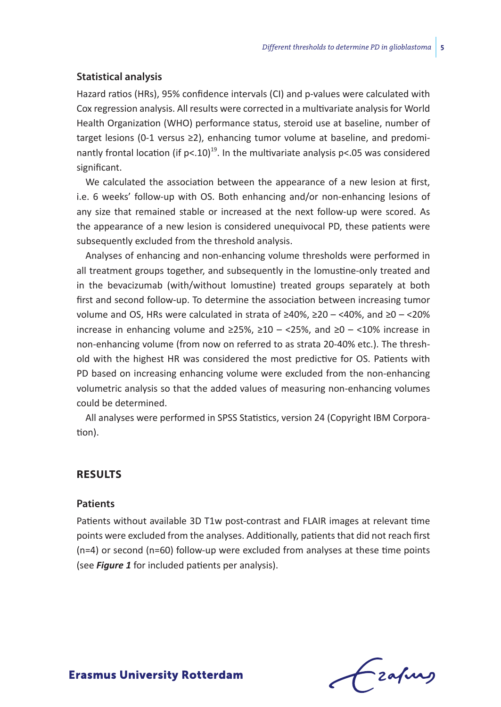#### **Statistical analysis**

Hazard ratios (HRs), 95% confidence intervals (CI) and p-values were calculated with Cox regression analysis. All results were corrected in a multivariate analysis for World Health Organization (WHO) performance status, steroid use at baseline, number of target lesions (0-1 versus ≥2), enhancing tumor volume at baseline, and predominantly frontal location (if  $p<10$ <sup>19</sup>. In the multivariate analysis  $p<0$ 5 was considered significant.

We calculated the association between the appearance of a new lesion at first, i.e. 6 weeks' follow-up with OS. Both enhancing and/or non-enhancing lesions of any size that remained stable or increased at the next follow-up were scored. As the appearance of a new lesion is considered unequivocal PD, these patients were subsequently excluded from the threshold analysis.

Analyses of enhancing and non-enhancing volume thresholds were performed in all treatment groups together, and subsequently in the lomustine-only treated and in the bevacizumab (with/without lomustine) treated groups separately at both first and second follow-up. To determine the association between increasing tumor volume and OS, HRs were calculated in strata of ≥40%, ≥20 – <40%, and ≥0 – <20% increase in enhancing volume and  $\geq$ 25%,  $\geq$ 10 – <25%, and  $\geq$ 0 – <10% increase in non-enhancing volume (from now on referred to as strata 20-40% etc.). The threshold with the highest HR was considered the most predictive for OS. Patients with PD based on increasing enhancing volume were excluded from the non-enhancing volumetric analysis so that the added values of measuring non-enhancing volumes could be determined.

All analyses were performed in SPSS Statistics, version 24 (Copyright IBM Corporation).

## **Results**

#### **Patients**

Patients without available 3D T1w post-contrast and FLAIR images at relevant time points were excluded from the analyses. Additionally, patients that did not reach first (n=4) or second (n=60) follow-up were excluded from analyses at these time points (see *Figure 1* for included patients per analysis).

-zafurs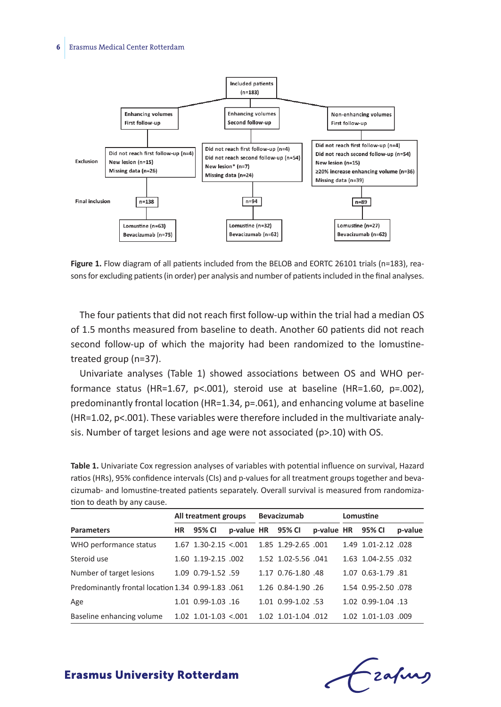

**Figure 1.** Flow diagram of all patients included from the BELOB and EORTC 26101 trials (n=183), reasons for excluding patients (in order) per analysis and number of patients included in the final analyses.

The four patients that did not reach first follow-up within the trial had a median OS of 1.5 months measured from baseline to death. Another 60 patients did not reach second follow-up of which the majority had been randomized to the lomustinetreated group (n=37).

Univariate analyses (Table 1) showed associations between OS and WHO performance status (HR=1.67, p<.001), steroid use at baseline (HR=1.60, p=.002), predominantly frontal location (HR=1.34, p=.061), and enhancing volume at baseline (HR=1.02, p<.001). These variables were therefore included in the multivariate analysis. Number of target lesions and age were not associated (p>.10) with OS.

**Table 1.** Univariate Cox regression analyses of variables with potential influence on survival, Hazard ratios (HRs), 95% confidence intervals (CIs) and p-values for all treatment groups together and bevacizumab- and lomustine-treated patients separately. Overall survival is measured from randomization to death by any cause.

|                                                    | All treatment groups |                            |                   | Bevacizumab |                     |                   | Lomustine |                     |         |
|----------------------------------------------------|----------------------|----------------------------|-------------------|-------------|---------------------|-------------------|-----------|---------------------|---------|
| <b>Parameters</b>                                  | <b>HR</b>            | 95% CI                     | p-value HR 95% CI |             |                     | p-value HR 95% CI |           |                     | p-value |
| WHO performance status                             |                      | $1.67$ 1.30-2.15 <.001     |                   |             | 1.85 1.29-2.65 .001 |                   |           | 1.49 1.01-2.12 .028 |         |
| Steroid use                                        |                      | 1.60 1.19-2.15 .002        |                   |             | 1.52 1.02-5.56 .041 |                   |           | 1.63 1.04-2.55 .032 |         |
| Number of target lesions                           |                      | 1.09 0.79-1.52 .59         |                   |             | 1.17 0.76-1.80 .48  |                   |           | 1.07 0.63-1.79 .81  |         |
| Predominantly frontal location 1.34 0.99-1.83 .061 |                      |                            |                   |             | 1.26 0.84-1.90 .26  |                   |           | 1.54 0.95-2.50 078  |         |
| Age                                                |                      | 1.01 0.99-1.03 .16         |                   |             | 1.01 0.99-1.02 .53  |                   |           | 1.02 0.99-1.04 .13  |         |
| Baseline enhancing volume                          |                      | $1.02$ $1.01 - 1.03$ <.001 |                   |             | 1.02 1.01-1.04 .012 |                   |           | 1.02 1.01-1.03 .009 |         |

Frafing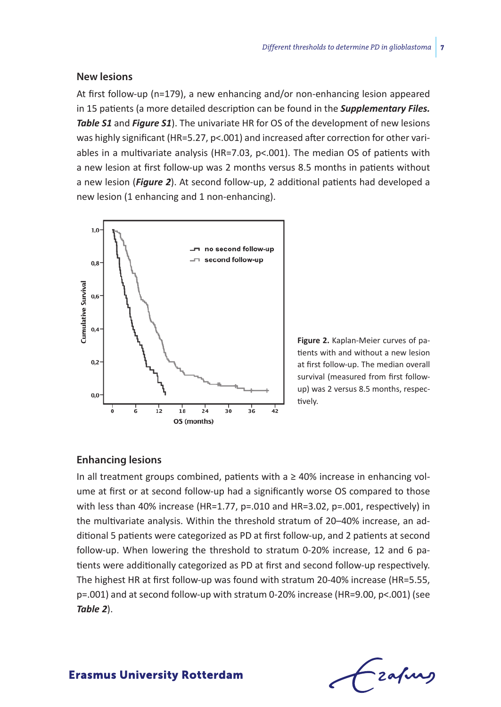### **New lesions**

At first follow-up (n=179), a new enhancing and/or non-enhancing lesion appeared in 15 patients (a more detailed description can be found in the *Supplementary Files. Table S1* and *Figure S1*). The univariate HR for OS of the development of new lesions was highly significant (HR=5.27, p<.001) and increased after correction for other variables in a multivariate analysis (HR=7.03,  $p<$ .001). The median OS of patients with a new lesion at first follow-up was 2 months versus 8.5 months in patients without a new lesion (*Figure 2*). At second follow-up, 2 additional patients had developed a new lesion (1 enhancing and 1 non-enhancing).



**Figure 2.** Kaplan-Meier curves of patients with and without a new lesion at first follow-up. The median overall survival (measured from first followup) was 2 versus 8.5 months, respectively.

### **Enhancing lesions**

In all treatment groups combined, patients with  $a \geq 40\%$  increase in enhancing volume at first or at second follow-up had a significantly worse OS compared to those with less than 40% increase (HR=1.77, p=.010 and HR=3.02, p=.001, respectively) in the multivariate analysis. Within the threshold stratum of 20–40% increase, an additional 5 patients were categorized as PD at first follow-up, and 2 patients at second follow-up. When lowering the threshold to stratum 0-20% increase, 12 and 6 patients were additionally categorized as PD at first and second follow-up respectively. The highest HR at first follow-up was found with stratum 20-40% increase (HR=5.55, p=.001) and at second follow-up with stratum 0-20% increase (HR=9.00, p<.001) (see *Table 2*).

- zafung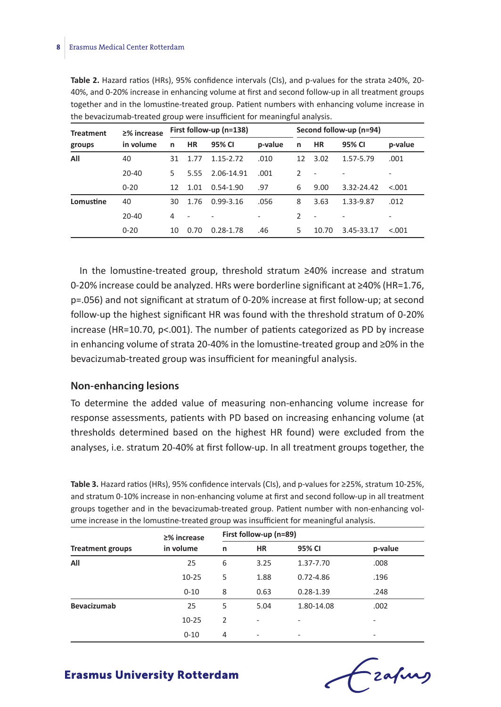| <b>Treatment</b><br>groups | ≥% increase<br>in volume | First follow-up (n=138) |           |               |         |    | Second follow-up (n=94)  |            |         |  |
|----------------------------|--------------------------|-------------------------|-----------|---------------|---------|----|--------------------------|------------|---------|--|
|                            |                          | n                       | <b>HR</b> | 95% CI        | p-value | n  | <b>HR</b>                | 95% CI     | p-value |  |
| All                        | 40                       | 31                      | 1.77      | 1.15-2.72     | .010    | 12 | 3.02                     | 1.57-5.79  | .001    |  |
|                            | $20 - 40$                | 5                       | 5.55      | 2.06-14.91    | .001    | 2  | $\overline{\phantom{a}}$ |            |         |  |
|                            | $0 - 20$                 | 12                      | 1.01      | $0.54 - 1.90$ | .97     | 6  | 9.00                     | 3.32-24.42 | < 0.01  |  |
| Lomustine                  | 40                       | 30                      | 1.76      | $0.99 - 3.16$ | .056    | 8  | 3.63                     | 1.33-9.87  | .012    |  |
|                            | $20 - 40$                | 4                       |           |               |         | 2  |                          |            |         |  |
|                            | $0 - 20$                 | 10                      | 0.70      | 0.28-1.78     | .46     | 5  | 10.70                    | 3.45-33.17 | < 0.001 |  |

**Table 2.** Hazard ratios (HRs), 95% confidence intervals (CIs), and p-values for the strata ≥40%, 20- 40%, and 0-20% increase in enhancing volume at first and second follow-up in all treatment groups together and in the lomustine-treated group. Patient numbers with enhancing volume increase in the bevacizumab-treated group were insufficient for meaningful analysis.

In the lomustine-treated group, threshold stratum ≥40% increase and stratum 0-20% increase could be analyzed. HRs were borderline significant at ≥40% (HR=1.76, p=.056) and not significant at stratum of 0-20% increase at first follow-up; at second follow-up the highest significant HR was found with the threshold stratum of 0-20% increase (HR=10.70, p<.001). The number of patients categorized as PD by increase in enhancing volume of strata 20-40% in the lomustine-treated group and ≥0% in the bevacizumab-treated group was insufficient for meaningful analysis.

#### **Non-enhancing lesions**

To determine the added value of measuring non-enhancing volume increase for response assessments, patients with PD based on increasing enhancing volume (at thresholds determined based on the highest HR found) were excluded from the analyses, i.e. stratum 20-40% at first follow-up. In all treatment groups together, the

**Table 3.** Hazard ratios (HRs), 95% confidence intervals (CIs), and p-values for ≥25%, stratum 10-25%, and stratum 0-10% increase in non-enhancing volume at first and second follow-up in all treatment groups together and in the bevacizumab-treated group. Patient number with non-enhancing volume increase in the lomustine-treated group was insufficient for meaningful analysis.

|                         | ≥% increase |                | First follow-up (n=89)   |               |         |  |  |  |
|-------------------------|-------------|----------------|--------------------------|---------------|---------|--|--|--|
| <b>Treatment groups</b> | in volume   | n              | <b>HR</b>                | 95% CI        | p-value |  |  |  |
| All                     | 25          | 6              | 3.25                     | 1.37-7.70     | .008    |  |  |  |
|                         | $10 - 25$   | 5              | 1.88                     | $0.72 - 4.86$ | .196    |  |  |  |
|                         | $0 - 10$    | 8              | 0.63                     | $0.28 - 1.39$ | .248    |  |  |  |
| Bevacizumab             | 25          | 5              | 5.04                     | 1.80-14.08    | .002    |  |  |  |
|                         | $10 - 25$   | 2              | $\overline{\phantom{a}}$ | -             | -       |  |  |  |
|                         | $0 - 10$    | $\overline{4}$ | $\overline{\phantom{a}}$ | -             | -       |  |  |  |

Ezapus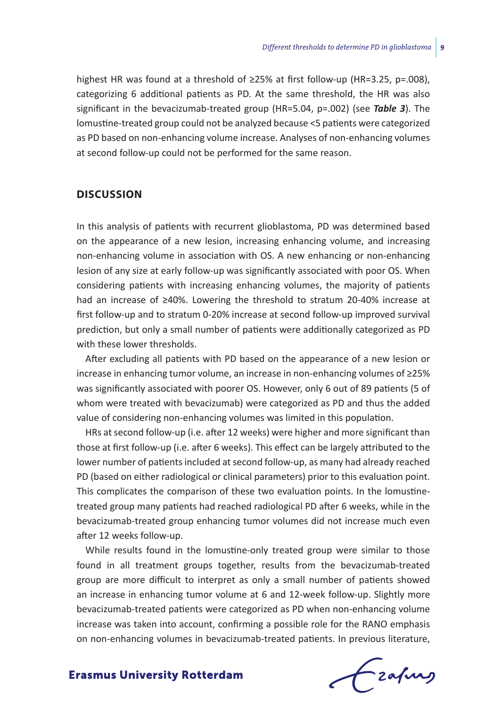highest HR was found at a threshold of ≥25% at first follow-up (HR=3.25, p=.008), categorizing 6 additional patients as PD. At the same threshold, the HR was also significant in the bevacizumab-treated group (HR=5.04, p=.002) (see *Table 3*). The lomustine-treated group could not be analyzed because <5 patients were categorized as PD based on non-enhancing volume increase. Analyses of non-enhancing volumes at second follow-up could not be performed for the same reason.

### **Discussion**

In this analysis of patients with recurrent glioblastoma, PD was determined based on the appearance of a new lesion, increasing enhancing volume, and increasing non-enhancing volume in association with OS. A new enhancing or non-enhancing lesion of any size at early follow-up was significantly associated with poor OS. When considering patients with increasing enhancing volumes, the majority of patients had an increase of ≥40%. Lowering the threshold to stratum 20-40% increase at first follow-up and to stratum 0-20% increase at second follow-up improved survival prediction, but only a small number of patients were additionally categorized as PD with these lower thresholds.

After excluding all patients with PD based on the appearance of a new lesion or increase in enhancing tumor volume, an increase in non-enhancing volumes of ≥25% was significantly associated with poorer OS. However, only 6 out of 89 patients (5 of whom were treated with bevacizumab) were categorized as PD and thus the added value of considering non-enhancing volumes was limited in this population.

HRs at second follow-up (i.e. after 12 weeks) were higher and more significant than those at first follow-up (i.e. after 6 weeks). This effect can be largely attributed to the lower number of patients included at second follow-up, as many had already reached PD (based on either radiological or clinical parameters) prior to this evaluation point. This complicates the comparison of these two evaluation points. In the lomustinetreated group many patients had reached radiological PD after 6 weeks, while in the bevacizumab-treated group enhancing tumor volumes did not increase much even after 12 weeks follow-up.

While results found in the lomustine-only treated group were similar to those found in all treatment groups together, results from the bevacizumab-treated group are more difficult to interpret as only a small number of patients showed an increase in enhancing tumor volume at 6 and 12-week follow-up. Slightly more bevacizumab-treated patients were categorized as PD when non-enhancing volume increase was taken into account, confirming a possible role for the RANO emphasis on non-enhancing volumes in bevacizumab-treated patients. In previous literature,

frafing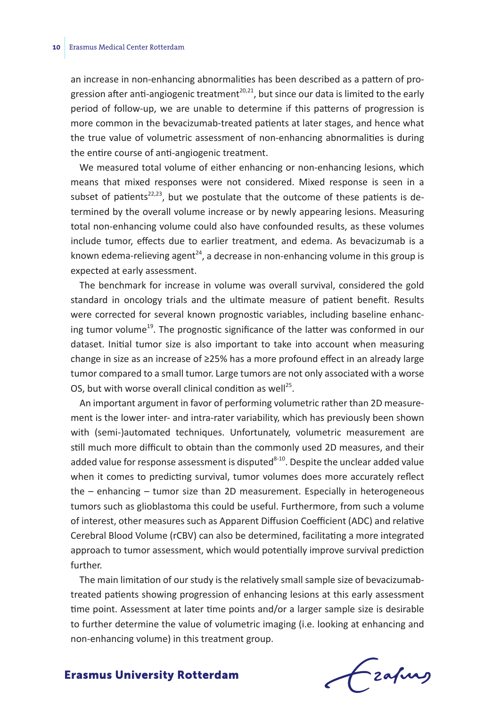an increase in non-enhancing abnormalities has been described as a pattern of progression after anti-angiogenic treatment<sup>20,21</sup>, but since our data is limited to the early period of follow-up, we are unable to determine if this patterns of progression is more common in the bevacizumab-treated patients at later stages, and hence what the true value of volumetric assessment of non-enhancing abnormalities is during the entire course of anti-angiogenic treatment.

We measured total volume of either enhancing or non-enhancing lesions, which means that mixed responses were not considered. Mixed response is seen in a subset of patients<sup>22,23</sup>, but we postulate that the outcome of these patients is determined by the overall volume increase or by newly appearing lesions. Measuring total non-enhancing volume could also have confounded results, as these volumes include tumor, effects due to earlier treatment, and edema. As bevacizumab is a known edema-relieving agent<sup>24</sup>, a decrease in non-enhancing volume in this group is expected at early assessment.

The benchmark for increase in volume was overall survival, considered the gold standard in oncology trials and the ultimate measure of patient benefit. Results were corrected for several known prognostic variables, including baseline enhancing tumor volume<sup>19</sup>. The prognostic significance of the latter was conformed in our dataset. Initial tumor size is also important to take into account when measuring change in size as an increase of ≥25% has a more profound effect in an already large tumor compared to a small tumor. Large tumors are not only associated with a worse OS, but with worse overall clinical condition as well<sup>25</sup>.

An important argument in favor of performing volumetric rather than 2D measurement is the lower inter- and intra-rater variability, which has previously been shown with (semi-)automated techniques. Unfortunately, volumetric measurement are still much more difficult to obtain than the commonly used 2D measures, and their added value for response assessment is disputed $8-10$ . Despite the unclear added value when it comes to predicting survival, tumor volumes does more accurately reflect the – enhancing – tumor size than 2D measurement. Especially in heterogeneous tumors such as glioblastoma this could be useful. Furthermore, from such a volume of interest, other measures such as Apparent Diffusion Coefficient (ADC) and relative Cerebral Blood Volume (rCBV) can also be determined, facilitating a more integrated approach to tumor assessment, which would potentially improve survival prediction further.

The main limitation of our study is the relatively small sample size of bevacizumabtreated patients showing progression of enhancing lesions at this early assessment time point. Assessment at later time points and/or a larger sample size is desirable to further determine the value of volumetric imaging (i.e. looking at enhancing and non-enhancing volume) in this treatment group.

frafing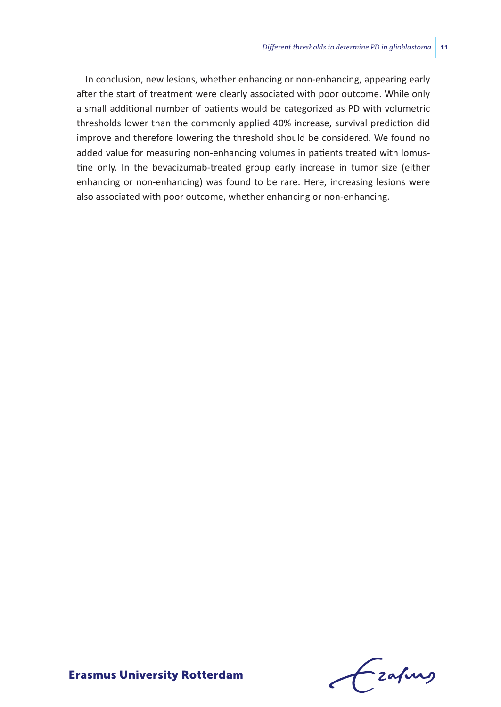In conclusion, new lesions, whether enhancing or non-enhancing, appearing early after the start of treatment were clearly associated with poor outcome. While only a small additional number of patients would be categorized as PD with volumetric thresholds lower than the commonly applied 40% increase, survival prediction did improve and therefore lowering the threshold should be considered. We found no added value for measuring non-enhancing volumes in patients treated with lomustine only. In the bevacizumab-treated group early increase in tumor size (either enhancing or non-enhancing) was found to be rare. Here, increasing lesions were also associated with poor outcome, whether enhancing or non-enhancing.

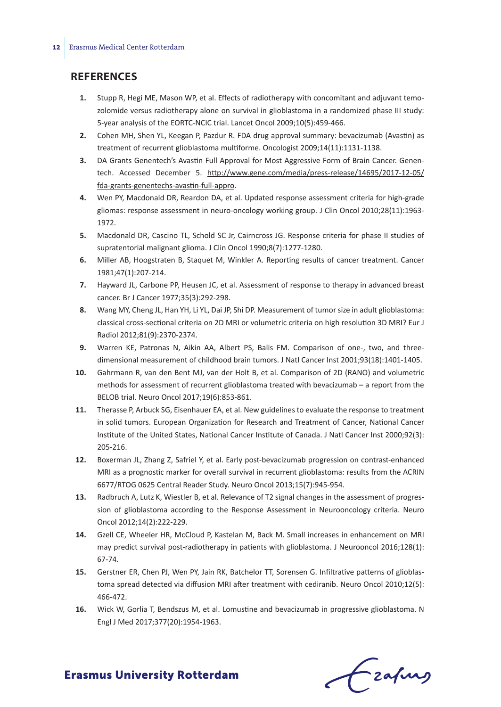### **References**

- **1.** Stupp R, Hegi ME, Mason WP, et al. Effects of radiotherapy with concomitant and adjuvant temozolomide versus radiotherapy alone on survival in glioblastoma in a randomized phase III study: 5-year analysis of the EORTC-NCIC trial. Lancet Oncol 2009;10(5):459-466.
- **2.** Cohen MH, Shen YL, Keegan P, Pazdur R. FDA drug approval summary: bevacizumab (Avastin) as treatment of recurrent glioblastoma multiforme. Oncologist 2009;14(11):1131-1138.
- **3.** DA Grants Genentech's Avastin Full Approval for Most Aggressive Form of Brain Cancer. Genentech. Accessed December 5. http://www.gene.com/media/press-release/14695/2017-12-05/ fda-grants-genentechs-avastin-full-appro.
- **4.** Wen PY, Macdonald DR, Reardon DA, et al. Updated response assessment criteria for high-grade gliomas: response assessment in neuro-oncology working group. J Clin Oncol 2010;28(11):1963- 1972.
- **5.** Macdonald DR, Cascino TL, Schold SC Jr, Cairncross JG. Response criteria for phase II studies of supratentorial malignant glioma. J Clin Oncol 1990;8(7):1277-1280.
- **6.** Miller AB, Hoogstraten B, Staquet M, Winkler A. Reporting results of cancer treatment. Cancer 1981;47(1):207-214.
- **7.** Hayward JL, Carbone PP, Heusen JC, et al. Assessment of response to therapy in advanced breast cancer. Br J Cancer 1977;35(3):292-298.
- **8.** Wang MY, Cheng JL, Han YH, Li YL, Dai JP, Shi DP. Measurement of tumor size in adult glioblastoma: classical cross-sectional criteria on 2D MRI or volumetric criteria on high resolution 3D MRI? Eur J Radiol 2012;81(9):2370-2374.
- **9.** Warren KE, Patronas N, Aikin AA, Albert PS, Balis FM. Comparison of one-, two, and threedimensional measurement of childhood brain tumors. J Natl Cancer Inst 2001;93(18):1401-1405.
- **10.** Gahrmann R, van den Bent MJ, van der Holt B, et al. Comparison of 2D (RANO) and volumetric methods for assessment of recurrent glioblastoma treated with bevacizumab – a report from the BELOB trial. Neuro Oncol 2017;19(6):853-861.
- **11.** Therasse P, Arbuck SG, Eisenhauer EA, et al. New guidelines to evaluate the response to treatment in solid tumors. European Organization for Research and Treatment of Cancer, National Cancer Institute of the United States, National Cancer Institute of Canada. J Natl Cancer Inst 2000;92(3): 205-216.
- **12.** Boxerman JL, Zhang Z, Safriel Y, et al. Early post-bevacizumab progression on contrast-enhanced MRI as a prognostic marker for overall survival in recurrent glioblastoma: results from the ACRIN 6677/RTOG 0625 Central Reader Study. Neuro Oncol 2013;15(7):945-954.
- **13.** Radbruch A, Lutz K, Wiestler B, et al. Relevance of T2 signal changes in the assessment of progression of glioblastoma according to the Response Assessment in Neurooncology criteria. Neuro Oncol 2012;14(2):222-229.
- **14.** Gzell CE, Wheeler HR, McCloud P, Kastelan M, Back M. Small increases in enhancement on MRI may predict survival post-radiotherapy in patients with glioblastoma. J Neurooncol 2016;128(1): 67-74.
- **15.** Gerstner ER, Chen PJ, Wen PY, Jain RK, Batchelor TT, Sorensen G. Infiltrative patterns of glioblastoma spread detected via diffusion MRI after treatment with cediranib. Neuro Oncol 2010;12(5): 466-472.
- **16.** Wick W, Gorlia T, Bendszus M, et al. Lomustine and bevacizumab in progressive glioblastoma. N Engl J Med 2017;377(20):1954-1963.

frafing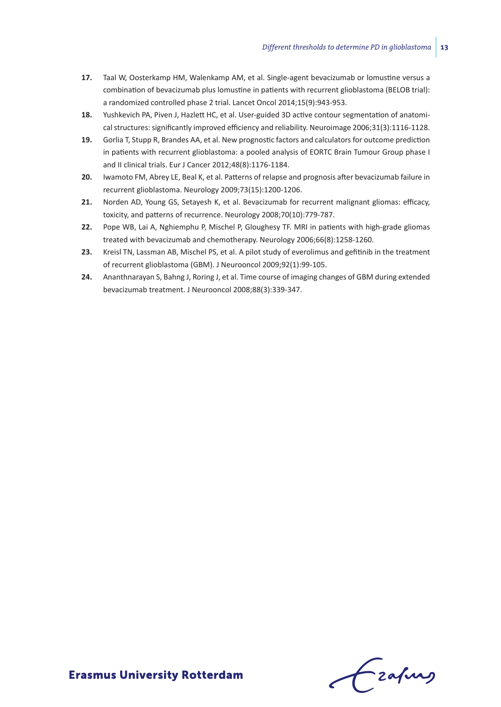- **17.** Taal W, Oosterkamp HM, Walenkamp AM, et al. Single-agent bevacizumab or lomustine versus a combination of bevacizumab plus lomustine in patients with recurrent glioblastoma (BELOB trial): a randomized controlled phase 2 trial. Lancet Oncol 2014;15(9):943-953.
- **18.** Yushkevich PA, Piven J, Hazlett HC, et al. User-guided 3D active contour segmentation of anatomical structures: significantly improved efficiency and reliability. Neuroimage 2006;31(3):1116-1128.
- **19.** Gorlia T, Stupp R, Brandes AA, et al. New prognostic factors and calculators for outcome prediction in patients with recurrent glioblastoma: a pooled analysis of EORTC Brain Tumour Group phase I and II clinical trials. Eur J Cancer 2012;48(8):1176-1184.
- **20.** Iwamoto FM, Abrey LE, Beal K, et al. Patterns of relapse and prognosis after bevacizumab failure in recurrent glioblastoma. Neurology 2009;73(15):1200-1206.
- **21.** Norden AD, Young GS, Setayesh K, et al. Bevacizumab for recurrent malignant gliomas: efficacy, toxicity, and patterns of recurrence. Neurology 2008;70(10):779-787.
- **22.** Pope WB, Lai A, Nghiemphu P, Mischel P, Gloughesy TF. MRI in patients with high-grade gliomas treated with bevacizumab and chemotherapy. Neurology 2006;66(8):1258-1260.
- **23.** Kreisl TN, Lassman AB, Mischel PS, et al. A pilot study of everolimus and gefitinib in the treatment of recurrent glioblastoma (GBM). J Neurooncol 2009;92(1):99-105.
- **24.** Ananthnarayan S, Bahng J, Roring J, et al. Time course of imaging changes of GBM during extended bevacizumab treatment. J Neurooncol 2008;88(3):339-347.

Frahing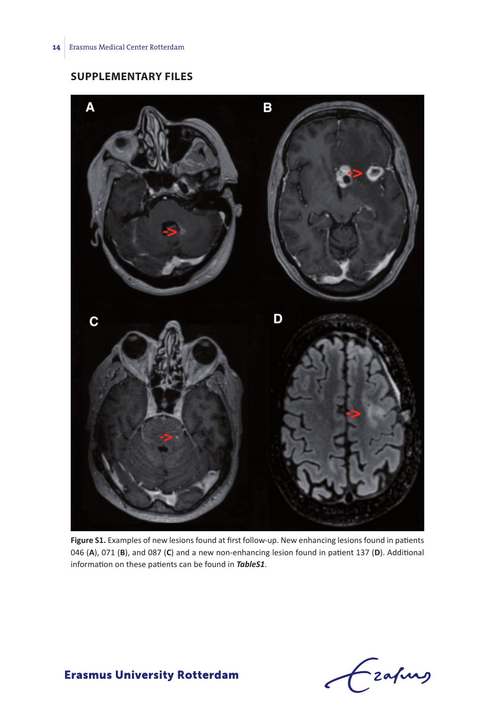## **Supplementary Files**



**Figure S1.** Examples of new lesions found at first follow-up. New enhancing lesions found in patients 046 (**A**), 071 (**B**), and 087 (**C**) and a new non-enhancing lesion found in patient 137 (**D**). Additional information on these patients can be found in *TableS1*.

Czafing